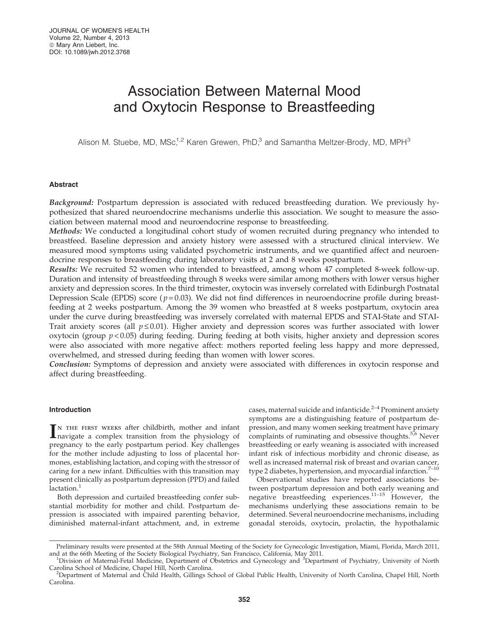# Association Between Maternal Mood and Oxytocin Response to Breastfeeding

Alison M. Stuebe, MD, MSc,<sup>1,2</sup> Karen Grewen, PhD, $3$  and Samantha Meltzer-Brody, MD, MPH $3$ 

## Abstract

Background: Postpartum depression is associated with reduced breastfeeding duration. We previously hypothesized that shared neuroendocrine mechanisms underlie this association. We sought to measure the association between maternal mood and neuroendocrine response to breastfeeding.

Methods: We conducted a longitudinal cohort study of women recruited during pregnancy who intended to breastfeed. Baseline depression and anxiety history were assessed with a structured clinical interview. We measured mood symptoms using validated psychometric instruments, and we quantified affect and neuroendocrine responses to breastfeeding during laboratory visits at 2 and 8 weeks postpartum.

Results: We recruited 52 women who intended to breastfeed, among whom 47 completed 8-week follow-up. Duration and intensity of breastfeeding through 8 weeks were similar among mothers with lower versus higher anxiety and depression scores. In the third trimester, oxytocin was inversely correlated with Edinburgh Postnatal Depression Scale (EPDS) score ( $p=0.03$ ). We did not find differences in neuroendocrine profile during breastfeeding at 2 weeks postpartum. Among the 39 women who breastfed at 8 weeks postpartum, oxytocin area under the curve during breastfeeding was inversely correlated with maternal EPDS and STAI-State and STAI-Trait anxiety scores (all  $p \le 0.01$ ). Higher anxiety and depression scores was further associated with lower oxytocin (group p < 0.05) during feeding. During feeding at both visits, higher anxiety and depression scores were also associated with more negative affect: mothers reported feeling less happy and more depressed, overwhelmed, and stressed during feeding than women with lower scores.

Conclusion: Symptoms of depression and anxiety were associated with differences in oxytocin response and affect during breastfeeding.

## Introduction

IN THE FIRST WEEKS after childbirth, mother and infant<br>mavigate a complex transition from the physiology of n the first weeks after childbirth, mother and infant pregnancy to the early postpartum period. Key challenges for the mother include adjusting to loss of placental hormones, establishing lactation, and coping with the stressor of caring for a new infant. Difficulties with this transition may present clinically as postpartum depression (PPD) and failed lactation.<sup>1</sup>

Both depression and curtailed breastfeeding confer substantial morbidity for mother and child. Postpartum depression is associated with impaired parenting behavior, diminished maternal-infant attachment, and, in extreme cases, maternal suicide and infanticide. $2-4$  Prominent anxiety symptoms are a distinguishing feature of postpartum depression, and many women seeking treatment have primary complaints of ruminating and obsessive thoughts.<sup>5,6</sup> Never breastfeeding or early weaning is associated with increased infant risk of infectious morbidity and chronic disease, as well as increased maternal risk of breast and ovarian cancer, type 2 diabetes, hypertension, and myocardial infarction.<sup>7-10</sup>

Observational studies have reported associations between postpartum depression and both early weaning and negative breastfeeding experiences.11–15 However, the mechanisms underlying these associations remain to be determined. Several neuroendocrine mechanisms, including gonadal steroids, oxytocin, prolactin, the hypothalamic

Preliminary results were presented at the 58th Annual Meeting of the Society for Gynecologic Investigation, Miami, Florida, March 2011, and at the 66th Meeting of the Society Biological Psychiatry, San Francisco, California, May 2011. <sup>1</sup>

Division of Maternal-Fetal Medicine, Department of Obstetrics and Gynecology and <sup>3</sup>Department of Psychiatry, University of North Carolina School of Medicine, Chapel Hill, North Carolina. <sup>2</sup>

Department of Maternal and Child Health, Gillings School of Global Public Health, University of North Carolina, Chapel Hill, North Carolina.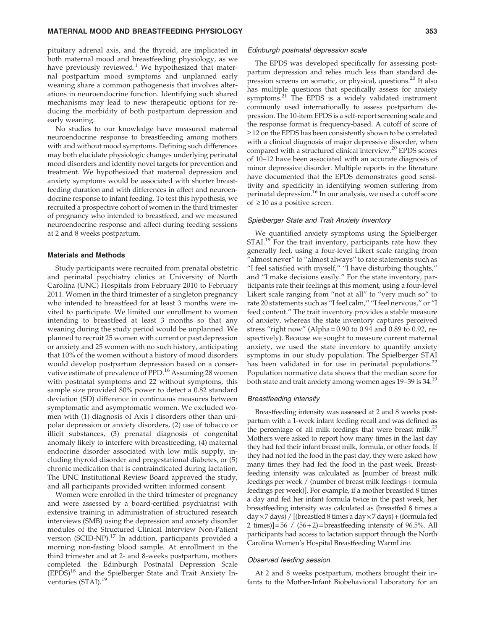pituitary adrenal axis, and the thyroid, are implicated in both maternal mood and breastfeeding physiology, as we have previously reviewed.<sup>1</sup> We hypothesized that maternal postpartum mood symptoms and unplanned early weaning share a common pathogenesis that involves alterations in neuroendocrine function. Identifying such shared mechanisms may lead to new therapeutic options for reducing the morbidity of both postpartum depression and early weaning.

No studies to our knowledge have measured maternal neuroendocrine response to breastfeeding among mothers with and without mood symptoms. Defining such differences may both elucidate physiologic changes underlying perinatal mood disorders and identify novel targets for prevention and treatment. We hypothesized that maternal depression and anxiety symptoms would be associated with shorter breastfeeding duration and with differences in affect and neuroendocrine response to infant feeding. To test this hypothesis, we recruited a prospective cohort of women in the third trimester of pregnancy who intended to breastfeed, and we measured neuroendocrine response and affect during feeding sessions at 2 and 8 weeks postpartum.

#### Materials and Methods

Study participants were recruited from prenatal obstetric and perinatal psychiatry clinics at University of North Carolina (UNC) Hospitals from February 2010 to February 2011. Women in the third trimester of a singleton pregnancy who intended to breastfeed for at least 3 months were invited to participate. We limited our enrollment to women intending to breastfeed at least 3 months so that any weaning during the study period would be unplanned. We planned to recruit 25 women with current or past depression or anxiety and 25 women with no such history, anticipating that 10% of the women without a history of mood disorders would develop postpartum depression based on a conservative estimate of prevalence of PPD.<sup>16</sup> Assuming 28 women with postnatal symptoms and 22 without symptoms, this sample size provided 80% power to detect a 0.82 standard deviation (SD) difference in continuous measures between symptomatic and asymptomatic women. We excluded women with (1) diagnosis of Axis I disorders other than unipolar depression or anxiety disorders, (2) use of tobacco or illicit substances, (3) prenatal diagnosis of congenital anomaly likely to interfere with breastfeeding, (4) maternal endocrine disorder associated with low milk supply, including thyroid disorder and pregestational diabetes, or (5) chronic medication that is contraindicated during lactation. The UNC Institutional Review Board approved the study, and all participants provided written informed consent.

Women were enrolled in the third trimester of pregnancy and were assessed by a board-certified psychiatrist with extensive training in administration of structured research interviews (SMB) using the depression and anxiety disorder modules of the Structured Clinical Interview Non-Patient version (SCID-NP).<sup>17</sup> In addition, participants provided a morning non-fasting blood sample. At enrollment in the third trimester and at 2- and 8-weeks postpartum, mothers completed the Edinburgh Postnatal Depression Scale  $(EPDS)<sup>18</sup>$  and the Spielberger State and Trait Anxiety Inventories (STAI).<sup>19</sup>

#### Edinburgh postnatal depression scale

The EPDS was developed specifically for assessing postpartum depression and relies much less than standard depression screens on somatic, or physical, questions.<sup>20</sup> It also has multiple questions that specifically assess for anxiety symptoms.<sup>21</sup> The EPDS is a widely validated instrument commonly used internationally to assess postpartum depression. The 10-item EPDS is a self-report screening scale and the response format is frequency-based. A cutoff of score of  $\ge$  12 on the EPDS has been consistently shown to be correlated with a clinical diagnosis of major depressive disorder, when compared with a structured clinical interview.<sup>20</sup> EPDS scores of 10–12 have been associated with an accurate diagnosis of minor depressive disorder. Multiple reports in the literature have documented that the EPDS demonstrates good sensitivity and specificity in identifying women suffering from perinatal depression.<sup>16</sup> In our analysis, we used a cutoff score of  $\geq 10$  as a positive screen.

#### Spielberger State and Trait Anxiety Inventory

We quantified anxiety symptoms using the Spielberger STAI.<sup>19</sup> For the trait inventory, participants rate how they generally feel, using a four-level Likert scale ranging from ''almost never'' to ''almost always'' to rate statements such as ''I feel satisfied with myself,'' ''I have disturbing thoughts,'' and ''I make decisions easily.'' For the state inventory, participants rate their feelings at this moment, using a four-level Likert scale ranging from "not at all" to "very much so" to rate 20 statements such as ''I feel calm,'' ''I feel nervous,'' or ''I feed content.'' The trait inventory provides a stable measure of anxiety, whereas the state inventory captures perceived stress "right now" (Alpha =  $0.90$  to  $0.94$  and  $0.89$  to  $0.92$ , respectively). Because we sought to measure current maternal anxiety, we used the state inventory to quantify anxiety symptoms in our study population. The Spielberger STAI has been validated in for use in perinatal populations.<sup>22</sup> Population normative data shows that the median score for both state and trait anxiety among women ages 19–39 is 34.<sup>19</sup>

#### Breastfeeding intensity

Breastfeeding intensity was assessed at 2 and 8 weeks postpartum with a 1-week infant feeding recall and was defined as the percentage of all milk feedings that were breast milk. $^{23}$ Mothers were asked to report how many times in the last day they had fed their infant breast milk, formula, or other foods. If they had not fed the food in the past day, they were asked how many times they had fed the food in the past week. Breastfeeding intensity was calculated as [number of breast milk feedings per week / (number of breast milk feedings + formula feedings per week)]. For example, if a mother breastfed 8 times a day and fed her infant formula twice in the past week, her breastfeeding intensity was calculated as (breastfed 8 times a day  $\times$  7 days) / [(breastfed 8 times a day  $\times$  7 days) + (formula fed 2 times)] =  $56 / (56 + 2)$  = breastfeeding intensity of 96.5%. All participants had access to lactation support through the North Carolina Women's Hospital Breastfeeding WarmLine.

#### Observed feeding session

At 2 and 8 weeks postpartum, mothers brought their infants to the Mother-Infant Biobehavioral Laboratory for an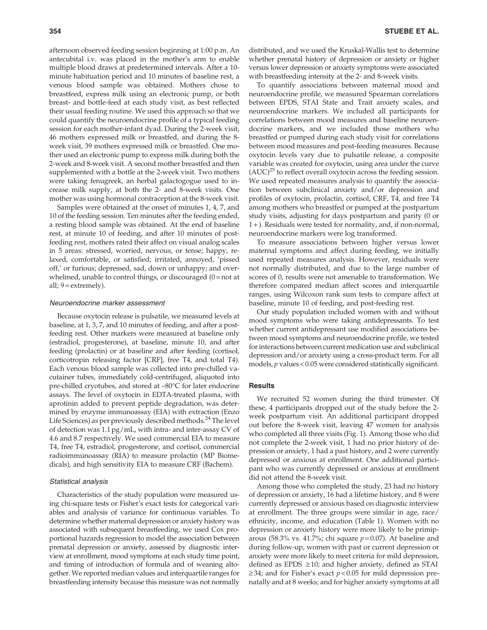afternoon observed feeding session beginning at 1:00 p.m. An antecubital i.v. was placed in the mother's arm to enable multiple blood draws at predetermined intervals. After a 10 minute habituation period and 10 minutes of baseline rest, a venous blood sample was obtained. Mothers chose to breastfeed, express milk using an electronic pump, or both breast- and bottle-feed at each study visit, as best reflected their usual feeding routine. We used this approach so that we could quantify the neuroendocrine profile of a typical feeding session for each mother-infant dyad. During the 2-week visit, 46 mothers expressed milk or breastfed, and during the 8 week visit, 39 mothers expressed milk or breastfed. One mother used an electronic pump to express milk during both the 2-week and 8-week visit. A second mother breastfed and then supplemented with a bottle at the 2-week visit. Two mothers were taking fenugreek, an herbal galactogogue used to increase milk supply, at both the 2- and 8-week visits. One mother was using hormonal contraception at the 8-week visit.

Samples were obtained at the onset of minutes 1, 4, 7, and 10 of the feeding session. Ten minutes after the feeding ended, a resting blood sample was obtained. At the end of baseline rest, at minute 10 of feeding, and after 10 minutes of postfeeding rest, mothers rated their affect on visual analog scales in 5 areas: stressed, worried, nervous, or tense; happy, relaxed, comfortable, or satisfied; irritated, annoyed, 'pissed off,' or furious; depressed, sad, down or unhappy; and overwhelmed, unable to control things, or discouraged  $(0 = not at$ all; 9 = extremely).

#### Neuroendocrine marker assessment

Because oxytocin release is pulsatile, we measured levels at baseline, at 1, 3, 7, and 10 minutes of feeding, and after a postfeeding rest. Other markers were measured at baseline only (estradiol, progesterone), at baseline, minute 10, and after feeding (prolactin) or at baseline and after feeding (cortisol, corticotropin releasing factor [CRF], free T4, and total T4). Each venous blood sample was collected into pre-chilled vacutainer tubes, immediately cold-centrifuged, aliquoted into pre-chilled cryotubes, and stored at –80°C for later endocrine assays. The level of oxytocin in EDTA-treated plasma, with aprotinin added to prevent peptide degradation, was determined by enzyme immunoassay (EIA) with extraction (Enzo Life Sciences) as per previously described methods.<sup>24</sup> The level of detection was 1.1 pg/mL, with intra- and inter-assay CV of 4.6 and 8.7 respectively. We used commercial EIA to measure T4, free T4, estradiol, progesterone, and cortisol, commercial radioimmunoassay (RIA) to measure prolactin (MP Biomedicals), and high sensitivity EIA to measure CRF (Bachem).

#### Statistical analysis

Characteristics of the study population were measured using chi-square tests or Fisher's exact tests for categorical variables and analysis of variance for continuous variables. To determine whether maternal depression or anxiety history was associated with subsequent breastfeeding, we used Cox proportional hazards regression to model the association between prenatal depression or anxiety, assessed by diagnostic interview at enrollment, mood symptoms at each study time point, and timing of introduction of formula and of weaning altogether. We reported median values and interquartile ranges for breastfeeding intensity because this measure was not normally distributed, and we used the Kruskal-Wallis test to determine whether prenatal history of depression or anxiety or higher versus lower depression or anxiety symptoms were associated with breastfeeding intensity at the 2- and 8-week visits.

To quantify associations between maternal mood and neuroendocrine profile, we measured Spearman correlations between EPDS, STAI State and Trait anxiety scales, and neuroendocrine markers. We included all participants for correlations between mood measures and baseline neuroendocrine markers, and we included those mothers who breastfed or pumped during each study visit for correlations between mood measures and post-feeding measures. Because oxytocin levels vary due to pulsatile release, a composite variable was created for oxytocin, using area under the curve  $(AUC)^{25}$  to reflect overall oxytocin across the feeding session. We used repeated measures analysis to quantify the association between subclinical anxiety and/or depression and profiles of oxytocin, prolactin, cortisol, CRF, T4, and free T4 among mothers who breastfed or pumped at the postpartum study visits, adjusting for days postpartum and parity (0 or 1 + ). Residuals were tested for normality, and, if non-normal, neuroendocrine markers were log transformed.

To measure associations between higher versus lower maternal symptoms and affect during feeding, we initially used repeated measures analysis. However, residuals were not normally distributed, and due to the large number of scores of 0, results were not amenable to transformation. We therefore compared median affect scores and interquartile ranges, using Wilcoxon rank sum tests to compare affect at baseline, minute 10 of feeding, and post-feeding rest.

Our study population included women with and without mood symptoms who were taking antidepressants. To test whether current antidepressant use modified associations between mood symptoms and neuroendocrine profile, we tested for interactions between current medication use and subclinical depression and/or anxiety using a cross-product term. For all models, p values < 0.05 were considered statistically significant.

#### **Results**

We recruited 52 women during the third trimester. Of these, 4 participants dropped out of the study before the 2 week postpartum visit. An additional participant dropped out before the 8-week visit, leaving 47 women for analysis who completed all three visits (Fig. 1). Among those who did not complete the 2-week visit, 1 had no prior history of depression or anxiety, 1 had a past history, and 2 were currently depressed or anxious at enrollment. One additional participant who was currently depressed or anxious at enrollment did not attend the 8-week visit.

Among those who completed the study, 23 had no history of depression or anxiety, 16 had a lifetime history, and 8 were currently depressed or anxious based on diagnostic interview at enrollment. The three groups were similar in age, race/ ethnicity, income, and education (Table 1). Women with no depression or anxiety history were more likely to be primiparous (58.3% vs. 41.7%; chi square  $p=0.07$ ). At baseline and during follow-up, women with past or current depression or anxiety were more likely to meet criteria for mild depression, defined as EPDS  $\geq$  10; and higher anxiety, defined as STAI  $\geq$  34; and for Fisher's exact  $p$  < 0.05 for mild depression prenatally and at 8 weeks; and for higher anxiety symptoms at all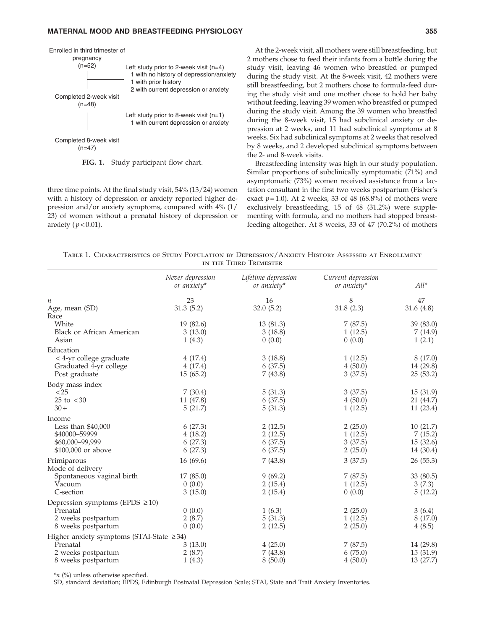## MATERNAL MOOD AND BREASTFEEDING PHYSIOLOGY 355



FIG. 1. Study participant flow chart.

three time points. At the final study visit, 54% (13/24) women with a history of depression or anxiety reported higher depression and/or anxiety symptoms, compared with 4% (1/ 23) of women without a prenatal history of depression or anxiety ( $p < 0.01$ ).

At the 2-week visit, all mothers were still breastfeeding, but 2 mothers chose to feed their infants from a bottle during the study visit, leaving 46 women who breastfed or pumped during the study visit. At the 8-week visit, 42 mothers were still breastfeeding, but 2 mothers chose to formula-feed during the study visit and one mother chose to hold her baby without feeding, leaving 39 women who breastfed or pumped during the study visit. Among the 39 women who breastfed during the 8-week visit, 15 had subclinical anxiety or depression at 2 weeks, and 11 had subclinical symptoms at 8 weeks. Six had subclinical symptoms at 2 weeks that resolved by 8 weeks, and 2 developed subclinical symptoms between the 2- and 8-week visits.

Breastfeeding intensity was high in our study population. Similar proportions of subclinically symptomatic (71%) and asymptomatic (73%) women received assistance from a lactation consultant in the first two weeks postpartum (Fisher's exact  $p=1.0$ ). At 2 weeks, 33 of 48 (68.8%) of mothers were exclusively breastfeeding, 15 of 48 (31.2%) were supplementing with formula, and no mothers had stopped breastfeeding altogether. At 8 weeks, 33 of 47 (70.2%) of mothers

Table 1. Characteristics of Study Population by Depression/Anxiety History Assessed at Enrollment in the Third Trimester

|                                                 | Never depression<br>or anxiety* | Lifetime depression<br>or anxiety* | Current depression<br>or anxiety* | $All^*$         |
|-------------------------------------------------|---------------------------------|------------------------------------|-----------------------------------|-----------------|
| п<br>Age, mean (SD)                             | 23<br>31.3(5.2)                 | 16<br>32.0(5.2)                    | 8<br>31.8(2.3)                    | 47<br>31.6(4.8) |
| Race                                            |                                 |                                    |                                   |                 |
| White                                           | 19 (82.6)                       | 13 (81.3)                          | 7(87.5)                           | 39 (83.0)       |
| Black or African American                       | 3(13.0)                         | 3(18.8)                            | 1(12.5)                           | 7(14.9)         |
| Asian                                           | 1(4.3)                          | 0(0.0)                             | 0(0.0)                            | 1(2.1)          |
| Education                                       |                                 |                                    |                                   |                 |
| < 4-yr college graduate                         | 4(17.4)                         | 3(18.8)                            | 1(12.5)                           | 8(17.0)         |
| Graduated 4-yr college                          | 4(17.4)                         | 6(37.5)                            | 4(50.0)                           | 14 (29.8)       |
| Post graduate                                   | 15(65.2)                        | 7(43.8)                            | 3(37.5)                           | 25(53.2)        |
| Body mass index                                 |                                 |                                    |                                   |                 |
| < 25                                            | 7(30.4)                         | 5(31.3)                            | 3(37.5)                           | 15(31.9)        |
| $25$ to $<$ 30                                  | 11 (47.8)                       | 6(37.5)                            | 4(50.0)                           | 21 (44.7)       |
| $30 +$                                          | 5(21.7)                         | 5(31.3)                            | 1(12.5)                           | 11(23.4)        |
| Income                                          |                                 |                                    |                                   |                 |
| Less than $$40,000$                             | 6(27.3)                         | 2(12.5)                            | 2(25.0)                           | 10(21.7)        |
| \$40000-59999                                   | 4(18.2)                         | 2(12.5)                            | 1(12.5)                           | 7(15.2)         |
| \$60,000-99,999                                 | 6(27.3)                         | 6(37.5)                            | 3(37.5)                           | 15(32.6)        |
| \$100,000 or above                              | 6(27.3)                         | 6(37.5)                            | 2(25.0)                           | 14 (30.4)       |
| Primiparous                                     | 16(69.6)                        | 7(43.8)                            | 3(37.5)                           | 26(55.3)        |
| Mode of delivery                                |                                 |                                    |                                   |                 |
| Spontaneous vaginal birth                       | 17 (85.0)                       | 9(69.2)                            | 7(87.5)                           | 33 (80.5)       |
| Vacuum                                          | 0(0.0)                          | 2(15.4)                            | 1(12.5)                           | 3(7.3)          |
| C-section                                       | 3(15.0)                         | 2(15.4)                            | 0(0.0)                            | 5(12.2)         |
| Depression symptoms (EPDS $\geq$ 10)            |                                 |                                    |                                   |                 |
| Prenatal                                        | 0(0.0)                          | 1(6.3)                             | 2(25.0)                           | 3(6.4)          |
| 2 weeks postpartum                              | 2(8.7)                          | 5(31.3)                            | 1(12.5)                           | 8 (17.0)        |
| 8 weeks postpartum                              | 0(0.0)                          | 2(12.5)                            | 2(25.0)                           | 4(8.5)          |
| Higher anxiety symptoms (STAI-State $\geq 34$ ) |                                 |                                    |                                   |                 |
| Prenatal                                        | 3(13.0)                         | 4(25.0)                            | 7(87.5)                           | 14 (29.8)       |
| 2 weeks postpartum                              | 2(8.7)                          | 7(43.8)                            | 6(75.0)                           | 15 (31.9)       |
| 8 weeks postpartum                              | 1(4.3)                          | 8(50.0)                            | 4(50.0)                           | 13 (27.7)       |

\*n (%) unless otherwise specified.

SD, standard deviation; EPDS, Edinburgh Postnatal Depression Scale; STAI, State and Trait Anxiety Inventories.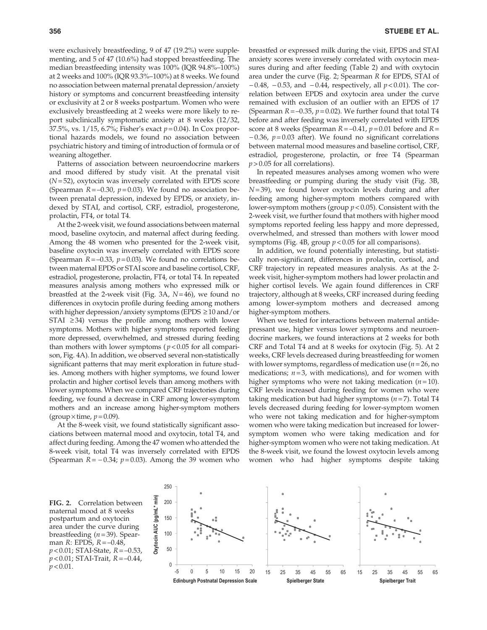were exclusively breastfeeding, 9 of 47 (19.2%) were supplementing, and 5 of 47 (10.6%) had stopped breastfeeding. The median breastfeeding intensity was 100% (IQR 94.8%–100%) at 2 weeks and 100% (IQR 93.3%–100%) at 8 weeks. We found no association between maternal prenatal depression/anxiety history or symptoms and concurrent breastfeeding intensity or exclusivity at 2 or 8 weeks postpartum. Women who were exclusively breastfeeding at 2 weeks were more likely to report subclinically symptomatic anxiety at 8 weeks (12/32, 37.5%, vs.  $1/15$ , 6.7%; Fisher's exact  $p = 0.04$ ). In Cox proportional hazards models, we found no association between psychiatric history and timing of introduction of formula or of weaning altogether.

Patterns of association between neuroendocrine markers and mood differed by study visit. At the prenatal visit  $(N=52)$ , oxytocin was inversely correlated with EPDS score (Spearman  $R = -0.30$ ,  $p = 0.03$ ). We found no association between prenatal depression, indexed by EPDS, or anxiety, indexed by STAI, and cortisol, CRF, estradiol, progesterone, prolactin, FT4, or total T4.

At the 2-week visit, we found associations between maternal mood, baseline oxytocin, and maternal affect during feeding. Among the 48 women who presented for the 2-week visit, baseline oxytocin was inversely correlated with EPDS score (Spearman  $R = -0.33$ ,  $p = 0.03$ ). We found no correlations between maternal EPDS or STAI score and baseline cortisol, CRF, estradiol, progesterone, prolactin, FT4, or total T4. In repeated measures analysis among mothers who expressed milk or breastfed at the 2-week visit (Fig. 3A,  $N=46$ ), we found no differences in oxytocin profile during feeding among mothers with higher depression/anxiety symptoms (EPDS  $\geq 10$  and/or STAI  $\geq$ 34) versus the profile among mothers with lower symptoms. Mothers with higher symptoms reported feeling more depressed, overwhelmed, and stressed during feeding than mothers with lower symptoms ( $p < 0.05$  for all comparison, Fig. 4A). In addition, we observed several non-statistically significant patterns that may merit exploration in future studies. Among mothers with higher symptoms, we found lower prolactin and higher cortisol levels than among mothers with lower symptoms. When we compared CRF trajectories during feeding, we found a decrease in CRF among lower-symptom mothers and an increase among higher-symptom mothers (group  $\times$  time,  $p = 0.09$ ).

At the 8-week visit, we found statistically significant associations between maternal mood and oxytocin, total T4, and affect during feeding. Among the 47 women who attended the 8-week visit, total T4 was inversely correlated with EPDS (Spearman  $R = -0.34$ ;  $p = 0.03$ ). Among the 39 women who breastfed or expressed milk during the visit, EPDS and STAI anxiety scores were inversely correlated with oxytocin measures during and after feeding (Table 2) and with oxytocin area under the curve (Fig. 2; Spearman R for EPDS, STAI of  $-0.48$ ,  $-0.53$ , and  $-0.44$ , respectively, all  $p < 0.01$ ). The correlation between EPDS and oxytocin area under the curve remained with exclusion of an outlier with an EPDS of 17 (Spearman  $R = -0.35$ ,  $p = 0.02$ ). We further found that total T4 before and after feeding was inversely correlated with EPDS score at 8 weeks (Spearman  $R = -0.41$ ,  $p = 0.01$  before and  $R =$  $-0.36$ ,  $p = 0.03$  after). We found no significant correlations between maternal mood measures and baseline cortisol, CRF, estradiol, progesterone, prolactin, or free T4 (Spearman  $p > 0.05$  for all correlations).

In repeated measures analyses among women who were breastfeeding or pumping during the study visit (Fig. 3B,  $N=39$ ), we found lower oxytocin levels during and after feeding among higher-symptom mothers compared with lower-symptom mothers (group  $p < 0.05$ ). Consistent with the 2-week visit, we further found that mothers with higher mood symptoms reported feeling less happy and more depressed, overwhelmed, and stressed than mothers with lower mood symptoms (Fig. 4B, group  $p < 0.05$  for all comparisons).

In addition, we found potentially interesting, but statistically non-significant, differences in prolactin, cortisol, and CRF trajectory in repeated measures analysis. As at the 2 week visit, higher-symptom mothers had lower prolactin and higher cortisol levels. We again found differences in CRF trajectory, although at 8 weeks, CRF increased during feeding among lower-symptom mothers and decreased among higher-symptom mothers.

When we tested for interactions between maternal antidepressant use, higher versus lower symptoms and neuroendocrine markers, we found interactions at 2 weeks for both CRF and Total T4 and at 8 weeks for oxytocin (Fig. 5). At 2 weeks, CRF levels decreased during breastfeeding for women with lower symptoms, regardless of medication use  $(n = 26, no$ medications;  $n = 3$ , with medications), and for women with higher symptoms who were not taking medication  $(n=10)$ . CRF levels increased during feeding for women who were taking medication but had higher symptoms  $(n=7)$ . Total T4 levels decreased during feeding for lower-symptom women who were not taking medication and for higher-symptom women who were taking medication but increased for lowersymptom women who were taking medication and for higher-symptom women who were not taking medication. At the 8-week visit, we found the lowest oxytocin levels among women who had higher symptoms despite taking

FIG. 2. Correlation between maternal mood at 8 weeks postpartum and oxytocin area under the curve during breastfeeding  $(n=39)$ . Spearman  $R$ : EPDS,  $R = -0.48$ ,  $p < 0.01$ ; STAI-State,  $R = -0.53$ ,  $p < 0.01$ ; STAI-Trait,  $R = -0.44$ ,  $p < 0.01$ .

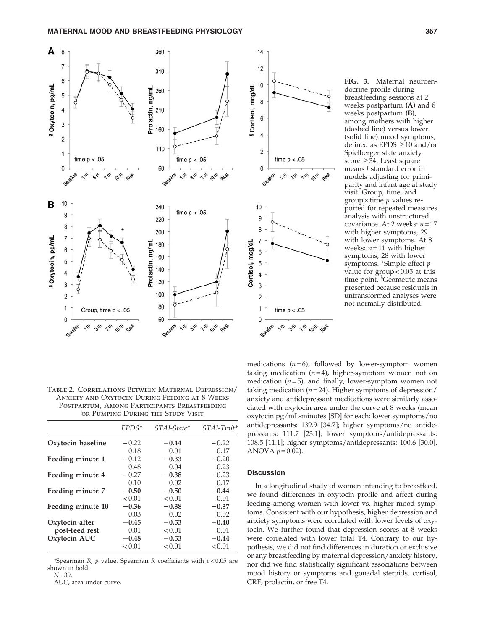

FIG. 3. Maternal neuroendocrine profile during breastfeeding sessions at 2 weeks postpartum (A) and 8 weeks postpartum (B), among mothers with higher (dashed line) versus lower (solid line) mood symptoms, defined as EPDS  $\geq 10$  and/or Spielberger state anxiety score  $\geq 34$ . Least square means – standard error in models adjusting for primiparity and infant age at study visit. Group, time, and  $group \times time p$  values reported for repeated measures analysis with unstructured covariance. At 2 weeks:  $n = 17$ with higher symptoms, 29 with lower symptoms. At 8 weeks:  $n = 11$  with higher symptoms, 28 with lower symptoms. \*Simple effect  $p$ value for group < 0.05 at this time point. <sup>§</sup>Geometric means presented because residuals in untransformed analyses were not normally distributed.

Table 2. Correlations Between Maternal Depression/ Anxiety and Oxytocin During Feeding at 8 Weeks POSTPARTUM, AMONG PARTICIPANTS BREASTFEEDING or Pumping During the Study Visit

| $EPDS^*$ | $STAI-State*$ | $STAI-Trait*$ |
|----------|---------------|---------------|
| $-0.22$  | $-0.44$       | $-0.22$       |
| 0.18     | 0.01          | 0.17          |
| $-0.12$  | $-0.33$       | $-0.20$       |
| 0.48     | 0.04          | 0.23          |
| $-0.27$  | $-0.38$       | $-0.23$       |
| 0.10     | 0.02          | 0.17          |
| $-0.50$  | $-0.50$       | $-0.44$       |
| < 0.01   | < 0.01        | 0.01          |
| $-0.36$  | $-0.38$       | $-0.37$       |
| 0.03     | 0.02          | 0.02          |
| $-0.45$  | $-0.53$       | $-0.40$       |
| 0.01     | < 0.01        | 0.01          |
| $-0.48$  | $-0.53$       | $-0.44$       |
| < 0.01   | < 0.01        | < 0.01        |
|          |               |               |

\*Spearman R,  $p$  value. Spearman R coefficients with  $p < 0.05$  are shown in bold.

 $N = 39$ 

AUC, area under curve.

medications  $(n=6)$ , followed by lower-symptom women taking medication  $(n=4)$ , higher-symptom women not on medication  $(n=5)$ , and finally, lower-symptom women not taking medication ( $n = 24$ ). Higher symptoms of depression/ anxiety and antidepressant medications were similarly associated with oxytocin area under the curve at 8 weeks (mean oxytocin pg/mL-minutes [SD] for each: lower symptoms/no antidepressants: 139.9 [34.7]; higher symptoms/no antidepressants: 111.7 [23.1]; lower symptoms/antidepressants: 108.5 [11.1]; higher symptoms/antidepressants: 100.6 [30.0], ANOVA  $p = 0.02$ ).

## **Discussion**

In a longitudinal study of women intending to breastfeed, we found differences in oxytocin profile and affect during feeding among women with lower vs. higher mood symptoms. Consistent with our hypothesis, higher depression and anxiety symptoms were correlated with lower levels of oxytocin. We further found that depression scores at 8 weeks were correlated with lower total T4. Contrary to our hypothesis, we did not find differences in duration or exclusive or any breastfeeding by maternal depression/anxiety history, nor did we find statistically significant associations between mood history or symptoms and gonadal steroids, cortisol, CRF, prolactin, or free T4.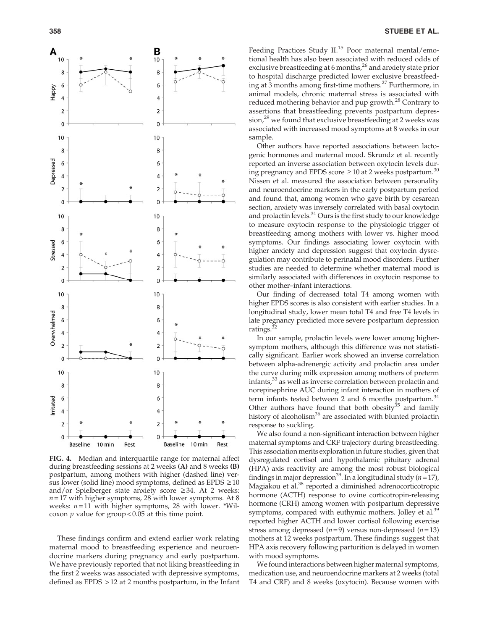

FIG. 4. Median and interquartile range for maternal affect during breastfeeding sessions at 2 weeks (A) and 8 weeks (B) postpartum, among mothers with higher (dashed line) versus lower (solid line) mood symptoms, defined as  $EPDS \ge 10$ and/or Spielberger state anxiety score  $\geq 34$ . At 2 weeks:  $n = 17$  with higher symptoms, 28 with lower symptoms. At 8 weeks:  $n = 11$  with higher symptoms, 28 with lower. \*Wilcoxon  $p$  value for group < 0.05 at this time point.

These findings confirm and extend earlier work relating maternal mood to breastfeeding experience and neuroendocrine markers during pregnancy and early postpartum. We have previously reported that not liking breastfeeding in the first 2 weeks was associated with depressive symptoms, defined as EPDS > 12 at 2 months postpartum, in the Infant Feeding Practices Study II.<sup>15</sup> Poor maternal mental/emotional health has also been associated with reduced odds of exclusive breastfeeding at 6 months,<sup>26</sup> and anxiety state prior to hospital discharge predicted lower exclusive breastfeeding at 3 months among first-time mothers.<sup>27</sup> Furthermore, in animal models, chronic maternal stress is associated with reduced mothering behavior and pup growth.<sup>28</sup> Contrary to assertions that breastfeeding prevents postpartum depres- $\sin^{29}$  we found that exclusive breastfeeding at 2 weeks was associated with increased mood symptoms at 8 weeks in our sample.

Other authors have reported associations between lactogenic hormones and maternal mood. Skrundz et al. recently reported an inverse association between oxytocin levels during pregnancy and EPDS score  $\geq 10$  at 2 weeks postpartum.<sup>30</sup> Nissen et al. measured the association between personality and neuroendocrine markers in the early postpartum period and found that, among women who gave birth by cesarean section, anxiety was inversely correlated with basal oxytocin and prolactin levels.<sup>31</sup> Ours is the first study to our knowledge to measure oxytocin response to the physiologic trigger of breastfeeding among mothers with lower vs. higher mood symptoms. Our findings associating lower oxytocin with higher anxiety and depression suggest that oxytocin dysregulation may contribute to perinatal mood disorders. Further studies are needed to determine whether maternal mood is similarly associated with differences in oxytocin response to other mother–infant interactions.

Our finding of decreased total T4 among women with higher EPDS scores is also consistent with earlier studies. In a longitudinal study, lower mean total T4 and free T4 levels in late pregnancy predicted more severe postpartum depression ratings. $32$ 

In our sample, prolactin levels were lower among highersymptom mothers, although this difference was not statistically significant. Earlier work showed an inverse correlation between alpha-adrenergic activity and prolactin area under the curve during milk expression among mothers of preterm infants,<sup>33</sup> as well as inverse correlation between prolactin and norepinephrine AUC during infant interaction in mothers of term infants tested between 2 and 6 months postpartum.<sup>34</sup> Other authors have found that both obesity $35$  and family history of alcoholism<sup>36</sup> are associated with blunted prolactin response to suckling.

We also found a non-significant interaction between higher maternal symptoms and CRF trajectory during breastfeeding. This association merits exploration in future studies, given that dysregulated cortisol and hypothalamic pituitary adrenal (HPA) axis reactivity are among the most robust biological findings in major depression<sup>39</sup>. In a longitudinal study ( $n = 17$ ), Magiakou et al.38 reported a diminished adrenocorticotropic hormone (ACTH) response to ovine corticotropin-releasing hormone (CRH) among women with postpartum depressive symptoms, compared with euthymic mothers. Jolley et al.<sup>39</sup> reported higher ACTH and lower cortisol following exercise stress among depressed  $(n=9)$  versus non-depressed  $(n=13)$ mothers at 12 weeks postpartum. These findings suggest that HPA axis recovery following parturition is delayed in women with mood symptoms.

We found interactions between higher maternal symptoms, medication use, and neuroendocrine markers at 2 weeks (total T4 and CRF) and 8 weeks (oxytocin). Because women with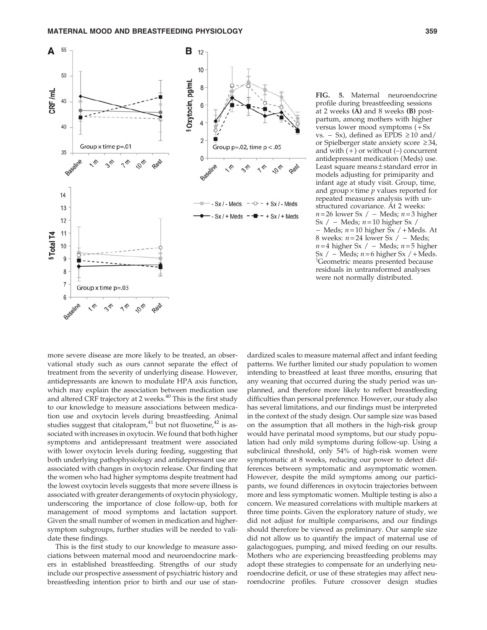

FIG. 5. Maternal neuroendocrine profile during breastfeeding sessions at 2 weeks  $(\overline{A})$  and 8 weeks  $(B)$  postpartum, among mothers with higher versus lower mood symptoms ( + Sx vs. - Sx), defined as EPDS  $\geq 10$  and/ or Spielberger state anxiety score  $\geq 34$ , and with  $(+)$  or without  $(-)$  concurrent antidepressant medication (Meds) use. Least square means  $\pm$  standard error in models adjusting for primiparity and infant age at study visit. Group, time, and group  $\times$  time  $p$  values reported for repeated measures analysis with unstructured covariance. At 2 weeks:  $n = 26$  lower Sx / - Meds;  $n = 3$  higher Sx  $/ -$  Meds;  $n = 10$  higher Sx  $/$  $-$  Meds;  $n = 10$  higher Sx / + Meds. At 8 weeks:  $n = 24$  lower Sx  $/ -$  Meds;  $n = 4$  higher Sx / - Meds;  $n = 5$  higher Sx / - Meds;  $n = 6$  higher Sx / + Meds. <sup>§</sup>Geometric means presented because residuals in untransformed analyses were not normally distributed.

more severe disease are more likely to be treated, an observational study such as ours cannot separate the effect of treatment from the severity of underlying disease. However, antidepressants are known to modulate HPA axis function, which may explain the association between medication use and altered CRF trajectory at 2 weeks. $40$  This is the first study to our knowledge to measure associations between medication use and oxytocin levels during breastfeeding. Animal studies suggest that citalopram, $41$  but not fluoxetine, $42$  is associated with increases in oxytocin. We found that both higher symptoms and antidepressant treatment were associated with lower oxytocin levels during feeding, suggesting that both underlying pathophysiology and antidepressant use are associated with changes in oxytocin release. Our finding that the women who had higher symptoms despite treatment had the lowest oxytocin levels suggests that more severe illness is associated with greater derangements of oxytocin physiology, underscoring the importance of close follow-up, both for management of mood symptoms and lactation support. Given the small number of women in medication and highersymptom subgroups, further studies will be needed to validate these findings.

This is the first study to our knowledge to measure associations between maternal mood and neuroendocrine markers in established breastfeeding. Strengths of our study include our prospective assessment of psychiatric history and breastfeeding intention prior to birth and our use of standardized scales to measure maternal affect and infant feeding patterns. We further limited our study population to women intending to breastfeed at least three months, ensuring that any weaning that occurred during the study period was unplanned, and therefore more likely to reflect breastfeeding difficulties than personal preference. However, our study also has several limitations, and our findings must be interpreted in the context of the study design. Our sample size was based on the assumption that all mothers in the high-risk group would have perinatal mood symptoms, but our study population had only mild symptoms during follow-up. Using a subclinical threshold, only 54% of high-risk women were symptomatic at 8 weeks, reducing our power to detect differences between symptomatic and asymptomatic women. However, despite the mild symptoms among our participants, we found differences in oxytocin trajectories between more and less symptomatic women. Multiple testing is also a concern. We measured correlations with multiple markers at three time points. Given the exploratory nature of study, we did not adjust for multiple comparisons, and our findings should therefore be viewed as preliminary. Our sample size did not allow us to quantify the impact of maternal use of galactogogues, pumping, and mixed feeding on our results. Mothers who are experiencing breastfeeding problems may adopt these strategies to compensate for an underlying neuroendocrine deficit, or use of these strategies may affect neuroendocrine profiles. Future crossover design studies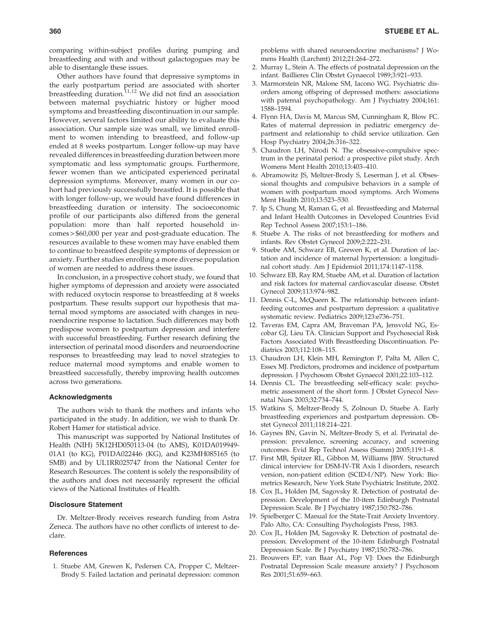comparing within-subject profiles during pumping and breastfeeding and with and without galactogogues may be able to disentangle these issues.

Other authors have found that depressive symptoms in the early postpartum period are associated with shorter breastfeeding duration.<sup>11,12</sup> We did not find an association between maternal psychiatric history or higher mood symptoms and breastfeeding discontinuation in our sample. However, several factors limited our ability to evaluate this association. Our sample size was small, we limited enrollment to women intending to breastfeed, and follow-up ended at 8 weeks postpartum. Longer follow-up may have revealed differences in breastfeeding duration between more symptomatic and less symptomatic groups. Furthermore, fewer women than we anticipated experienced perinatal depression symptoms. Moreover, many women in our cohort had previously successfully breastfed. It is possible that with longer follow-up, we would have found differences in breastfeeding duration or intensity. The socioeconomic profile of our participants also differed from the general population: more than half reported household incomes > \$60,000 per year and post-graduate education. The resources available to these women may have enabled them to continue to breastfeed despite symptoms of depression or anxiety. Further studies enrolling a more diverse population of women are needed to address these issues.

In conclusion, in a prospective cohort study, we found that higher symptoms of depression and anxiety were associated with reduced oxytocin response to breastfeeding at 8 weeks postpartum. These results support our hypothesis that maternal mood symptoms are associated with changes in neuroendocrine response to lactation. Such differences may both predispose women to postpartum depression and interfere with successful breastfeeding. Further research defining the intersection of perinatal mood disorders and neuroendocrine responses to breastfeeding may lead to novel strategies to reduce maternal mood symptoms and enable women to breastfeed successfully, thereby improving health outcomes across two generations.

# Acknowledgments

The authors wish to thank the mothers and infants who participated in the study. In addition, we wish to thank Dr. Robert Hamer for statistical advice.

This manuscript was supported by National Institutes of Health (NIH) 5K12HD050113-04 (to AMS), K01DA019949- 01A1 (to KG), P01DA022446 (KG), and K23MH085165 (to SMB) and by UL1RR025747 from the National Center for Research Resources. The content is solely the responsibility of the authors and does not necessarily represent the official views of the National Institutes of Health.

# Disclosure Statement

Dr. Meltzer-Brody receives research funding from Astra Zeneca. The authors have no other conflicts of interest to declare.

#### References

1. Stuebe AM, Grewen K, Pedersen CA, Propper C, Meltzer-Brody S. Failed lactation and perinatal depression: common problems with shared neuroendocrine mechanisms? J Womens Health (Larchmt) 2012;21:264–272.

- 2. Murray L, Stein A. The effects of postnatal depression on the infant. Baillieres Clin Obstet Gynaecol 1989;3:921–933.
- 3. Marmorstein NR, Malone SM, Iacono WG. Psychiatric disorders among offspring of depressed mothers: associations with paternal psychopathology. Am J Psychiatry 2004;161: 1588–1594.
- 4. Flynn HA, Davis M, Marcus SM, Cunningham R, Blow FC. Rates of maternal depression in pediatric emergency department and relationship to child service utilization. Gen Hosp Psychiatry 2004;26:316–322.
- 5. Chaudron LH, Nirodi N. The obsessive-compulsive spectrum in the perinatal period: a prospective pilot study. Arch Womens Ment Health 2010;13:403–410.
- 6. Abramowitz JS, Meltzer-Brody S, Leserman J, et al. Obsessional thoughts and compulsive behaviors in a sample of women with postpartum mood symptoms. Arch Womens Ment Health 2010;13:523–530.
- 7. Ip S, Chung M, Raman G, et al. Breastfeeding and Maternal and Infant Health Outcomes in Developed Countries Evid Rep Technol Assess 2007;153:1–186.
- 8. Stuebe A. The risks of not breastfeeding for mothers and infants. Rev Obstet Gynecol 2009;2:222–231.
- 9. Stuebe AM, Schwarz EB, Grewen K, et al. Duration of lactation and incidence of maternal hypertension: a longitudinal cohort study. Am J Epidemiol 2011;174:1147–1158.
- 10. Schwarz EB, Ray RM, Stuebe AM, et al. Duration of lactation and risk factors for maternal cardiovascular disease. Obstet Gynecol 2009;113:974–982.
- 11. Dennis C-L, McQueen K. The relationship between infantfeeding outcomes and postpartum depression: a qualitative systematic review. Pediatrics 2009;123:e736–751.
- 12. Taveras EM, Capra AM, Braveman PA, Jensvold NG, Escobar GJ, Lieu TA. Clinician Support and Psychosocial Risk Factors Associated With Breastfeeding Discontinuation. Pediatrics 2003;112:108–115.
- 13. Chaudron LH, Klein MH, Remington P, Palta M, Allen C, Essex MJ. Predictors, prodromes and incidence of postpartum depression. J Psychosom Obstet Gynaecol 2001;22:103–112.
- 14. Dennis CL. The breastfeeding self-efficacy scale: psychometric assessment of the short form. J Obstet Gynecol Neonatal Nurs 2003;32:734–744.
- 15. Watkins S, Meltzer-Brody S, Zolnoun D, Stuebe A. Early breastfeeding experiences and postpartum depression. Obstet Gynecol 2011;118:214–221.
- 16. Gaynes BN, Gavin N, Meltzer-Brody S, et al. Perinatal depression: prevalence, screening accuracy, and screening outcomes. Evid Rep Technol Assess (Summ) 2005;119:1–8.
- 17. First MB, Spitzer RL, Gibbon M, Williams JBW. Structured clinical interview for DSM-IV-TR Axis I disorders, research version, non-patient edition (SCID-I/NP). New York: Biometrics Research, New York State Psychiatric Institute, 2002.
- 18. Cox JL, Holden JM, Sagovsky R. Detection of postnatal depression. Development of the 10-item Edinburgh Postnatal Depression Scale. Br J Psychiatry 1987;150:782–786.
- 19. Spielberger C. Manual for the State-Trait Anxiety Inventory. Palo Alto, CA: Consulting Psychologists Press, 1983.
- 20. Cox JL, Holden JM, Sagovsky R. Detection of postnatal depression. Development of the 10-item Edinburgh Postnatal Depression Scale. Br J Psychiatry 1987;150:782–786.
- 21. Brouwers EP, van Baar AL, Pop VJ: Does the Edinburgh Postnatal Depression Scale measure anxiety? J Psychosom Res 2001;51:659–663.